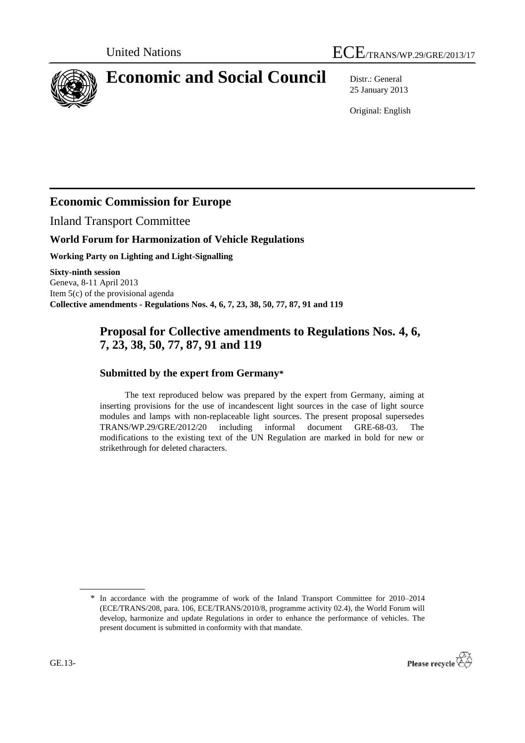

# **Economic and Social Council** Distr.: General

25 January 2013

Original: English

# **Economic Commission for Europe**

Inland Transport Committee

# **World Forum for Harmonization of Vehicle Regulations**

**Working Party on Lighting and Light-Signalling**

**Sixty-ninth session**  Geneva, 8-11 April 2013 Item 5(c) of the provisional agenda **Collective amendments - Regulations Nos. 4, 6, 7, 23, 38, 50, 77, 87, 91 and 119**

# **Proposal for Collective amendments to Regulations Nos. 4, 6, 7, 23, 38, 50, 77, 87, 91 and 119**

# **Submitted by the expert from Germany\***

The text reproduced below was prepared by the expert from Germany, aiming at inserting provisions for the use of incandescent light sources in the case of light source modules and lamps with non-replaceable light sources. The present proposal supersedes TRANS/WP.29/GRE/2012/20 including informal document GRE-68-03. The modifications to the existing text of the UN Regulation are marked in bold for new or strikethrough for deleted characters.

<sup>\*</sup> In accordance with the programme of work of the Inland Transport Committee for 2010–2014 (ECE/TRANS/208, para. 106, ECE/TRANS/2010/8, programme activity 02.4), the World Forum will develop, harmonize and update Regulations in order to enhance the performance of vehicles. The present document is submitted in conformity with that mandate.

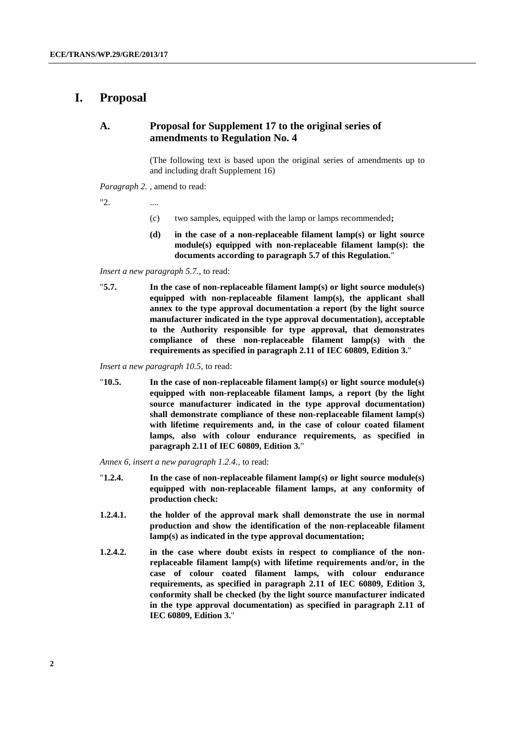### **I. Proposal**

#### **A. Proposal for Supplement 17 to the original series of amendments to Regulation No. 4**

(The following text is based upon the original series of amendments up to and including draft Supplement 16)

*Paragraph 2.* , amend to read:

 $"2.$  ....

- (c) two samples, equipped with the lamp or lamps recommended**;**
- **(d) in the case of a non-replaceable filament lamp(s) or light source module(s) equipped with non-replaceable filament lamp(s): the documents according to paragraph 5.7 of this Regulation.**"

*Insert a new paragraph 5.7.*, to read:

"**5.7. In the case of non-replaceable filament lamp(s) or light source module(s) equipped with non-replaceable filament lamp(s), the applicant shall annex to the type approval documentation a report (by the light source manufacturer indicated in the type approval documentation), acceptable to the Authority responsible for type approval, that demonstrates compliance of these non-replaceable filament lamp(s) with the requirements as specified in paragraph 2.11 of IEC 60809, Edition 3.**"

*Insert a new paragraph 10.5,* to read:

"**10.5. In the case of non-replaceable filament lamp(s) or light source module(s) equipped with non-replaceable filament lamps, a report (by the light source manufacturer indicated in the type approval documentation) shall demonstrate compliance of these non-replaceable filament lamp(s) with lifetime requirements and, in the case of colour coated filament lamps, also with colour endurance requirements, as specified in paragraph 2.11 of IEC 60809, Edition 3***.*"

*Annex 6, insert a new paragraph 1.2.4.,* to read:

- "**1.2.4. In the case of non-replaceable filament lamp(s) or light source module(s) equipped with non-replaceable filament lamps, at any conformity of production check:**
- **1.2.4.1. the holder of the approval mark shall demonstrate the use in normal production and show the identification of the non-replaceable filament lamp(s) as indicated in the type approval documentation;**
- **1.2.4.2. in the case where doubt exists in respect to compliance of the nonreplaceable filament lamp(s) with lifetime requirements and/or, in the case of colour coated filament lamps, with colour endurance requirements, as specified in paragraph 2.11 of IEC 60809, Edition 3, conformity shall be checked (by the light source manufacturer indicated in the type approval documentation) as specified in paragraph 2.11 of IEC 60809, Edition 3.**"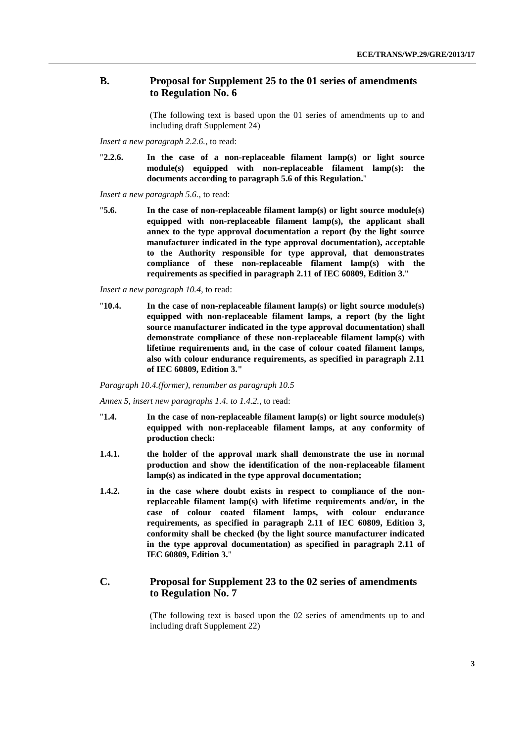#### **B. Proposal for Supplement 25 to the 01 series of amendments to Regulation No. 6**

(The following text is based upon the 01 series of amendments up to and including draft Supplement 24)

*Insert a new paragraph 2.2.6.*, to read:

"**2.2.6. In the case of a non-replaceable filament lamp(s) or light source module(s) equipped with non-replaceable filament lamp(s): the documents according to paragraph 5.6 of this Regulation.**"

*Insert a new paragraph 5.6.,* to read:

"**5.6. In the case of non-replaceable filament lamp(s) or light source module(s) equipped with non-replaceable filament lamp(s), the applicant shall annex to the type approval documentation a report (by the light source manufacturer indicated in the type approval documentation), acceptable to the Authority responsible for type approval, that demonstrates compliance of these non-replaceable filament lamp(s) with the requirements as specified in paragraph 2.11 of IEC 60809, Edition 3.**"

*Insert a new paragraph 10.4,* to read:

"**10.4. In the case of non-replaceable filament lamp(s) or light source module(s) equipped with non-replaceable filament lamps, a report (by the light source manufacturer indicated in the type approval documentation) shall demonstrate compliance of these non-replaceable filament lamp(s) with lifetime requirements and, in the case of colour coated filament lamps, also with colour endurance requirements, as specified in paragraph 2.11 of IEC 60809, Edition 3."**

*Paragraph 10.4.(former), renumber as paragraph 10.5*

*Annex 5, insert new paragraphs 1.4. to 1.4.2.*, to read:

- "**1.4. In the case of non-replaceable filament lamp(s) or light source module(s) equipped with non-replaceable filament lamps, at any conformity of production check:**
- **1.4.1. the holder of the approval mark shall demonstrate the use in normal production and show the identification of the non-replaceable filament lamp(s) as indicated in the type approval documentation;**
- **1.4.2. in the case where doubt exists in respect to compliance of the nonreplaceable filament lamp(s) with lifetime requirements and/or, in the case of colour coated filament lamps, with colour endurance requirements, as specified in paragraph 2.11 of IEC 60809, Edition 3, conformity shall be checked (by the light source manufacturer indicated in the type approval documentation) as specified in paragraph 2.11 of IEC 60809, Edition 3.**"

#### **C. Proposal for Supplement 23 to the 02 series of amendments to Regulation No. 7**

(The following text is based upon the 02 series of amendments up to and including draft Supplement 22)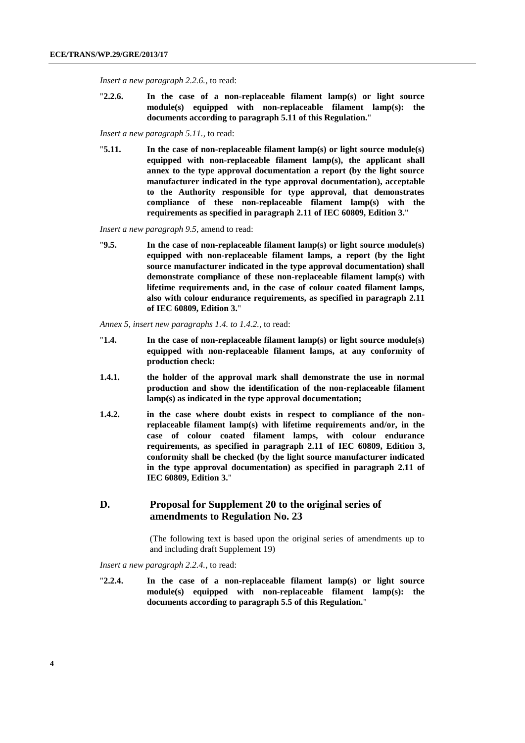*Insert a new paragraph 2.2.6.*, to read:

"**2.2.6. In the case of a non-replaceable filament lamp(s) or light source module(s) equipped with non-replaceable filament lamp(s): the documents according to paragraph 5.11 of this Regulation.**"

*Insert a new paragraph 5.11.*, to read:

"**5.11. In the case of non-replaceable filament lamp(s) or light source module(s) equipped with non-replaceable filament lamp(s), the applicant shall annex to the type approval documentation a report (by the light source manufacturer indicated in the type approval documentation), acceptable to the Authority responsible for type approval, that demonstrates compliance of these non-replaceable filament lamp(s) with the requirements as specified in paragraph 2.11 of IEC 60809, Edition 3.**"

*Insert a new paragraph 9.5,* amend to read:

"**9.5. In the case of non-replaceable filament lamp(s) or light source module(s) equipped with non-replaceable filament lamps, a report (by the light source manufacturer indicated in the type approval documentation) shall demonstrate compliance of these non-replaceable filament lamp(s) with lifetime requirements and, in the case of colour coated filament lamps, also with colour endurance requirements, as specified in paragraph 2.11 of IEC 60809, Edition 3.**"

*Annex 5, insert new paragraphs 1.4. to 1.4.2.*, to read:

- "**1.4. In the case of non-replaceable filament lamp(s) or light source module(s) equipped with non-replaceable filament lamps, at any conformity of production check:**
- **1.4.1. the holder of the approval mark shall demonstrate the use in normal production and show the identification of the non-replaceable filament lamp(s) as indicated in the type approval documentation;**
- **1.4.2. in the case where doubt exists in respect to compliance of the nonreplaceable filament lamp(s) with lifetime requirements and/or, in the case of colour coated filament lamps, with colour endurance requirements, as specified in paragraph 2.11 of IEC 60809, Edition 3, conformity shall be checked (by the light source manufacturer indicated in the type approval documentation) as specified in paragraph 2.11 of IEC 60809, Edition 3.**"

#### **D. Proposal for Supplement 20 to the original series of amendments to Regulation No. 23**

(The following text is based upon the original series of amendments up to and including draft Supplement 19)

*Insert a new paragraph 2.2.4.*, to read:

"**2.2.4. In the case of a non-replaceable filament lamp(s) or light source module(s) equipped with non-replaceable filament lamp(s): the documents according to paragraph 5.5 of this Regulation.**"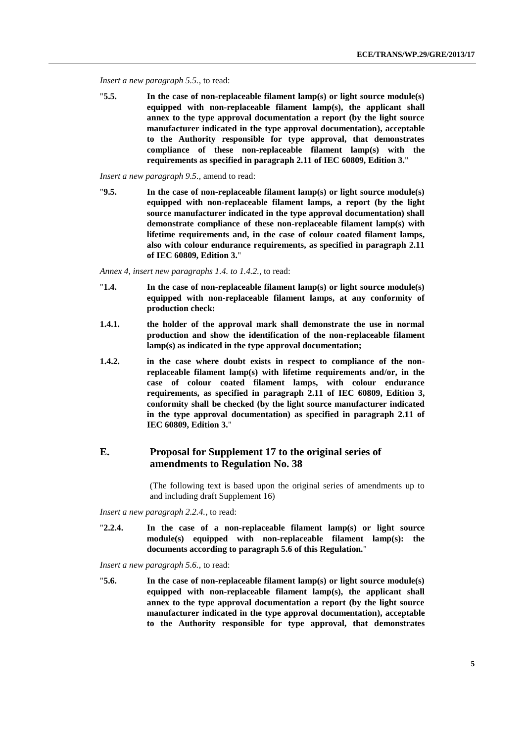*Insert a new paragraph 5.5.*, to read:

"**5.5. In the case of non-replaceable filament lamp(s) or light source module(s) equipped with non-replaceable filament lamp(s), the applicant shall annex to the type approval documentation a report (by the light source manufacturer indicated in the type approval documentation), acceptable to the Authority responsible for type approval, that demonstrates compliance of these non-replaceable filament lamp(s) with the requirements as specified in paragraph 2.11 of IEC 60809, Edition 3.**"

*Insert a new paragraph 9.5.,* amend to read:

"**9.5. In the case of non-replaceable filament lamp(s) or light source module(s) equipped with non-replaceable filament lamps, a report (by the light source manufacturer indicated in the type approval documentation) shall demonstrate compliance of these non-replaceable filament lamp(s) with lifetime requirements and, in the case of colour coated filament lamps, also with colour endurance requirements, as specified in paragraph 2.11 of IEC 60809, Edition 3.**"

*Annex 4, insert new paragraphs 1.4. to 1.4.2.*, to read:

- "**1.4. In the case of non-replaceable filament lamp(s) or light source module(s) equipped with non-replaceable filament lamps, at any conformity of production check:**
- **1.4.1. the holder of the approval mark shall demonstrate the use in normal production and show the identification of the non-replaceable filament lamp(s) as indicated in the type approval documentation;**
- **1.4.2. in the case where doubt exists in respect to compliance of the nonreplaceable filament lamp(s) with lifetime requirements and/or, in the case of colour coated filament lamps, with colour endurance requirements, as specified in paragraph 2.11 of IEC 60809, Edition 3, conformity shall be checked (by the light source manufacturer indicated in the type approval documentation) as specified in paragraph 2.11 of IEC 60809, Edition 3.**"

#### **E. Proposal for Supplement 17 to the original series of amendments to Regulation No. 38**

(The following text is based upon the original series of amendments up to and including draft Supplement 16)

*Insert a new paragraph 2.2.4.*, to read:

"**2.2.4. In the case of a non-replaceable filament lamp(s) or light source module(s) equipped with non-replaceable filament lamp(s): the documents according to paragraph 5.6 of this Regulation.**"

*Insert a new paragraph 5.6.*, to read:

"**5.6. In the case of non-replaceable filament lamp(s) or light source module(s) equipped with non-replaceable filament lamp(s), the applicant shall annex to the type approval documentation a report (by the light source manufacturer indicated in the type approval documentation), acceptable to the Authority responsible for type approval, that demonstrates**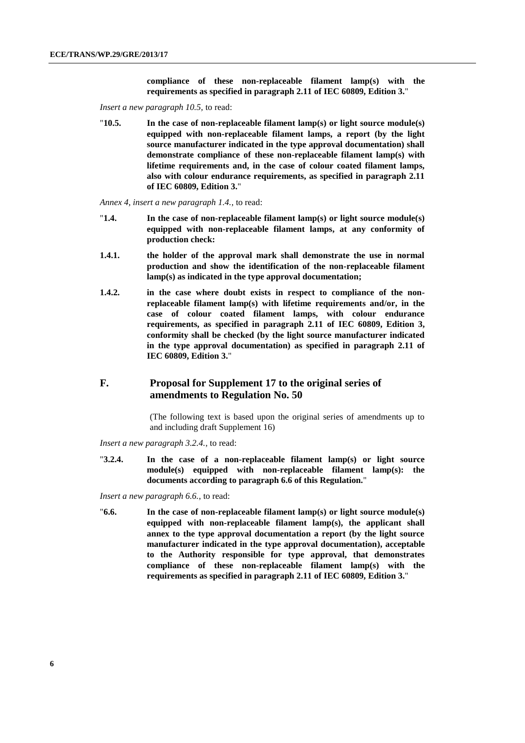**compliance of these non-replaceable filament lamp(s) with the requirements as specified in paragraph 2.11 of IEC 60809, Edition 3.**"

*Insert a new paragraph 10.5,* to read:

"**10.5. In the case of non-replaceable filament lamp(s) or light source module(s) equipped with non-replaceable filament lamps, a report (by the light source manufacturer indicated in the type approval documentation) shall demonstrate compliance of these non-replaceable filament lamp(s) with lifetime requirements and, in the case of colour coated filament lamps, also with colour endurance requirements, as specified in paragraph 2.11 of IEC 60809, Edition 3.**"

*Annex 4, insert a new paragraph 1.4.*, to read:

- "**1.4. In the case of non-replaceable filament lamp(s) or light source module(s) equipped with non-replaceable filament lamps, at any conformity of production check:**
- **1.4.1. the holder of the approval mark shall demonstrate the use in normal production and show the identification of the non-replaceable filament lamp(s) as indicated in the type approval documentation;**
- **1.4.2. in the case where doubt exists in respect to compliance of the nonreplaceable filament lamp(s) with lifetime requirements and/or, in the case of colour coated filament lamps, with colour endurance requirements, as specified in paragraph 2.11 of IEC 60809, Edition 3, conformity shall be checked (by the light source manufacturer indicated in the type approval documentation) as specified in paragraph 2.11 of IEC 60809, Edition 3.**"

### **F. Proposal for Supplement 17 to the original series of amendments to Regulation No. 50**

(The following text is based upon the original series of amendments up to and including draft Supplement 16)

*Insert a new paragraph 3.2.4.*, to read:

"**3.2.4. In the case of a non-replaceable filament lamp(s) or light source module(s) equipped with non-replaceable filament lamp(s): the documents according to paragraph 6.6 of this Regulation.**"

*Insert a new paragraph 6.6.*, to read:

"**6.6. In the case of non-replaceable filament lamp(s) or light source module(s) equipped with non-replaceable filament lamp(s), the applicant shall annex to the type approval documentation a report (by the light source manufacturer indicated in the type approval documentation), acceptable to the Authority responsible for type approval, that demonstrates compliance of these non-replaceable filament lamp(s) with the requirements as specified in paragraph 2.11 of IEC 60809, Edition 3.**"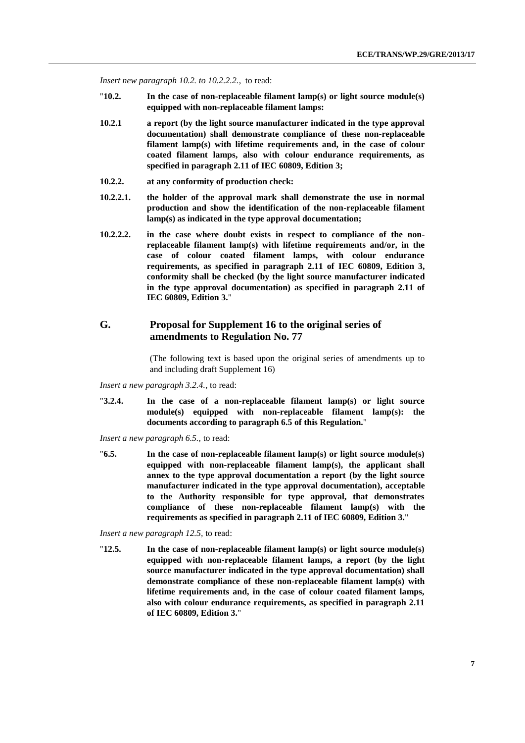*Insert new paragraph 10.2. to 10.2.2.2.*, to read:

- "**10.2. In the case of non-replaceable filament lamp(s) or light source module(s) equipped with non-replaceable filament lamps:**
- **10.2.1 a report (by the light source manufacturer indicated in the type approval documentation) shall demonstrate compliance of these non-replaceable filament lamp(s) with lifetime requirements and, in the case of colour coated filament lamps, also with colour endurance requirements, as specified in paragraph 2.11 of IEC 60809, Edition 3;**
- **10.2.2. at any conformity of production check:**
- **10.2.2.1. the holder of the approval mark shall demonstrate the use in normal production and show the identification of the non-replaceable filament lamp(s) as indicated in the type approval documentation;**
- **10.2.2.2. in the case where doubt exists in respect to compliance of the nonreplaceable filament lamp(s) with lifetime requirements and/or, in the case of colour coated filament lamps, with colour endurance requirements, as specified in paragraph 2.11 of IEC 60809, Edition 3, conformity shall be checked (by the light source manufacturer indicated in the type approval documentation) as specified in paragraph 2.11 of IEC 60809, Edition 3.**"

#### **G. Proposal for Supplement 16 to the original series of amendments to Regulation No. 77**

(The following text is based upon the original series of amendments up to and including draft Supplement 16)

*Insert a new paragraph 3.2.4.*, to read:

"**3.2.4. In the case of a non-replaceable filament lamp(s) or light source module(s) equipped with non-replaceable filament lamp(s): the documents according to paragraph 6.5 of this Regulation.**"

*Insert a new paragraph 6.5.,* to read:

"**6.5. In the case of non-replaceable filament lamp(s) or light source module(s) equipped with non-replaceable filament lamp(s), the applicant shall annex to the type approval documentation a report (by the light source manufacturer indicated in the type approval documentation), acceptable to the Authority responsible for type approval, that demonstrates compliance of these non-replaceable filament lamp(s) with the requirements as specified in paragraph 2.11 of IEC 60809, Edition 3.**"

*Insert a new paragraph 12.5,* to read:

"**12.5. In the case of non-replaceable filament lamp(s) or light source module(s) equipped with non-replaceable filament lamps, a report (by the light source manufacturer indicated in the type approval documentation) shall demonstrate compliance of these non-replaceable filament lamp(s) with lifetime requirements and, in the case of colour coated filament lamps, also with colour endurance requirements, as specified in paragraph 2.11 of IEC 60809, Edition 3.**"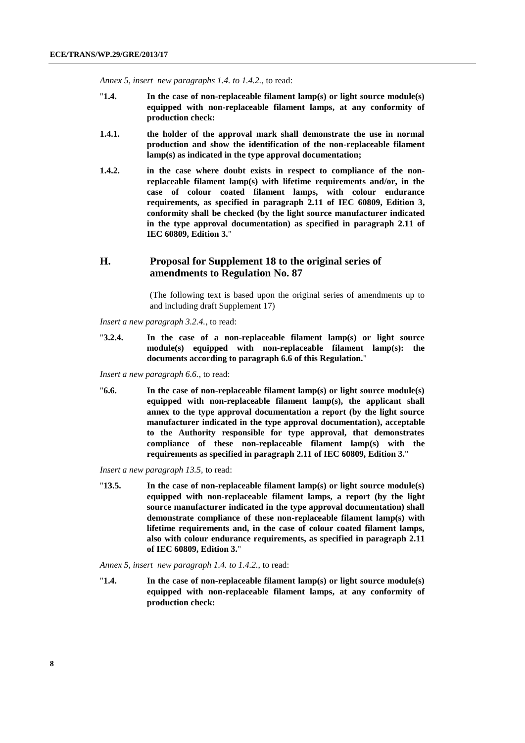*Annex 5, insert new paragraphs 1.4. to 1.4.2.*, to read:

- "**1.4. In the case of non-replaceable filament lamp(s) or light source module(s) equipped with non-replaceable filament lamps, at any conformity of production check:**
- **1.4.1. the holder of the approval mark shall demonstrate the use in normal production and show the identification of the non-replaceable filament lamp(s) as indicated in the type approval documentation;**
- **1.4.2. in the case where doubt exists in respect to compliance of the nonreplaceable filament lamp(s) with lifetime requirements and/or, in the case of colour coated filament lamps, with colour endurance requirements, as specified in paragraph 2.11 of IEC 60809, Edition 3, conformity shall be checked (by the light source manufacturer indicated in the type approval documentation) as specified in paragraph 2.11 of IEC 60809, Edition 3.**"

#### **H. Proposal for Supplement 18 to the original series of amendments to Regulation No. 87**

(The following text is based upon the original series of amendments up to and including draft Supplement 17)

*Insert a new paragraph 3.2.4.*, to read:

"**3.2.4. In the case of a non-replaceable filament lamp(s) or light source module(s) equipped with non-replaceable filament lamp(s): the documents according to paragraph 6.6 of this Regulation.**"

*Insert a new paragraph 6.6.*, to read:

"**6.6. In the case of non-replaceable filament lamp(s) or light source module(s) equipped with non-replaceable filament lamp(s), the applicant shall annex to the type approval documentation a report (by the light source manufacturer indicated in the type approval documentation), acceptable to the Authority responsible for type approval, that demonstrates compliance of these non-replaceable filament lamp(s) with the requirements as specified in paragraph 2.11 of IEC 60809, Edition 3.**"

*Insert a new paragraph 13.5,* to read:

"**13.5. In the case of non-replaceable filament lamp(s) or light source module(s) equipped with non-replaceable filament lamps, a report (by the light source manufacturer indicated in the type approval documentation) shall demonstrate compliance of these non-replaceable filament lamp(s) with lifetime requirements and, in the case of colour coated filament lamps, also with colour endurance requirements, as specified in paragraph 2.11 of IEC 60809, Edition 3.**"

*Annex 5, insert new paragraph 1.4. to 1.4.2.*, to read:

"**1.4. In the case of non-replaceable filament lamp(s) or light source module(s) equipped with non-replaceable filament lamps, at any conformity of production check:**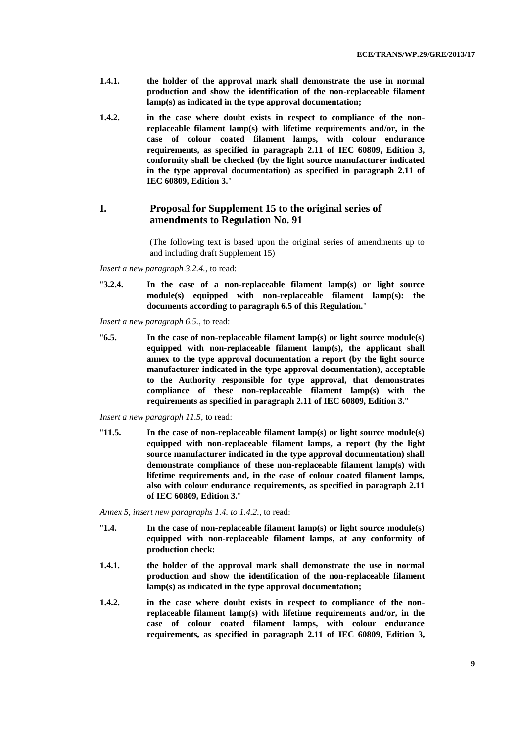- **1.4.1. the holder of the approval mark shall demonstrate the use in normal production and show the identification of the non-replaceable filament lamp(s) as indicated in the type approval documentation;**
- **1.4.2. in the case where doubt exists in respect to compliance of the nonreplaceable filament lamp(s) with lifetime requirements and/or, in the case of colour coated filament lamps, with colour endurance requirements, as specified in paragraph 2.11 of IEC 60809, Edition 3, conformity shall be checked (by the light source manufacturer indicated in the type approval documentation) as specified in paragraph 2.11 of IEC 60809, Edition 3.**"

#### **I. Proposal for Supplement 15 to the original series of amendments to Regulation No. 91**

(The following text is based upon the original series of amendments up to and including draft Supplement 15)

*Insert a new paragraph 3.2.4.*, to read:

"**3.2.4. In the case of a non-replaceable filament lamp(s) or light source module(s) equipped with non-replaceable filament lamp(s): the documents according to paragraph 6.5 of this Regulation.**"

*Insert a new paragraph 6.5.*, to read:

"**6.5. In the case of non-replaceable filament lamp(s) or light source module(s) equipped with non-replaceable filament lamp(s), the applicant shall annex to the type approval documentation a report (by the light source manufacturer indicated in the type approval documentation), acceptable to the Authority responsible for type approval, that demonstrates compliance of these non-replaceable filament lamp(s) with the requirements as specified in paragraph 2.11 of IEC 60809, Edition 3.**"

*Insert a new paragraph 11.5,* to read:

"**11.5. In the case of non-replaceable filament lamp(s) or light source module(s) equipped with non-replaceable filament lamps, a report (by the light source manufacturer indicated in the type approval documentation) shall demonstrate compliance of these non-replaceable filament lamp(s) with lifetime requirements and, in the case of colour coated filament lamps, also with colour endurance requirements, as specified in paragraph 2.11 of IEC 60809, Edition 3.**"

*Annex 5, insert new paragraphs 1.4. to 1.4.2.*, to read:

- "**1.4. In the case of non-replaceable filament lamp(s) or light source module(s) equipped with non-replaceable filament lamps, at any conformity of production check:**
- **1.4.1. the holder of the approval mark shall demonstrate the use in normal production and show the identification of the non-replaceable filament lamp(s) as indicated in the type approval documentation;**
- **1.4.2. in the case where doubt exists in respect to compliance of the nonreplaceable filament lamp(s) with lifetime requirements and/or, in the case of colour coated filament lamps, with colour endurance requirements, as specified in paragraph 2.11 of IEC 60809, Edition 3,**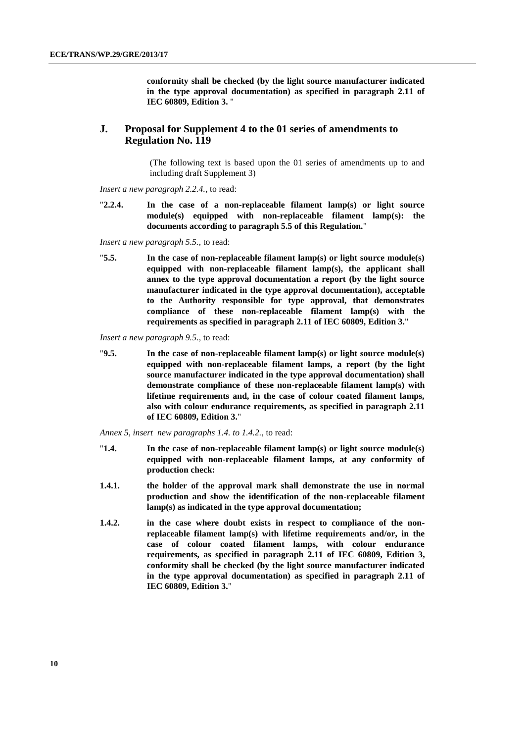**conformity shall be checked (by the light source manufacturer indicated in the type approval documentation) as specified in paragraph 2.11 of IEC 60809, Edition 3.** "

#### **J. Proposal for Supplement 4 to the 01 series of amendments to Regulation No. 119**

(The following text is based upon the 01 series of amendments up to and including draft Supplement 3)

*Insert a new paragraph 2.2.4.*, to read:

"**2.2.4. In the case of a non-replaceable filament lamp(s) or light source module(s) equipped with non-replaceable filament lamp(s): the documents according to paragraph 5.5 of this Regulation.**"

*Insert a new paragraph 5.5.*, to read:

"**5.5. In the case of non-replaceable filament lamp(s) or light source module(s) equipped with non-replaceable filament lamp(s), the applicant shall annex to the type approval documentation a report (by the light source manufacturer indicated in the type approval documentation), acceptable to the Authority responsible for type approval, that demonstrates compliance of these non-replaceable filament lamp(s) with the requirements as specified in paragraph 2.11 of IEC 60809, Edition 3.**"

*Insert a new paragraph 9.5.,* to read:

"**9.5. In the case of non-replaceable filament lamp(s) or light source module(s) equipped with non-replaceable filament lamps, a report (by the light source manufacturer indicated in the type approval documentation) shall demonstrate compliance of these non-replaceable filament lamp(s) with lifetime requirements and, in the case of colour coated filament lamps, also with colour endurance requirements, as specified in paragraph 2.11 of IEC 60809, Edition 3.**"

*Annex 5, insert new paragraphs 1.4. to 1.4.2.*, to read:

- "**1.4. In the case of non-replaceable filament lamp(s) or light source module(s) equipped with non-replaceable filament lamps, at any conformity of production check:**
- **1.4.1. the holder of the approval mark shall demonstrate the use in normal production and show the identification of the non-replaceable filament lamp(s) as indicated in the type approval documentation;**
- **1.4.2. in the case where doubt exists in respect to compliance of the nonreplaceable filament lamp(s) with lifetime requirements and/or, in the case of colour coated filament lamps, with colour endurance requirements, as specified in paragraph 2.11 of IEC 60809, Edition 3, conformity shall be checked (by the light source manufacturer indicated in the type approval documentation) as specified in paragraph 2.11 of IEC 60809, Edition 3.**"